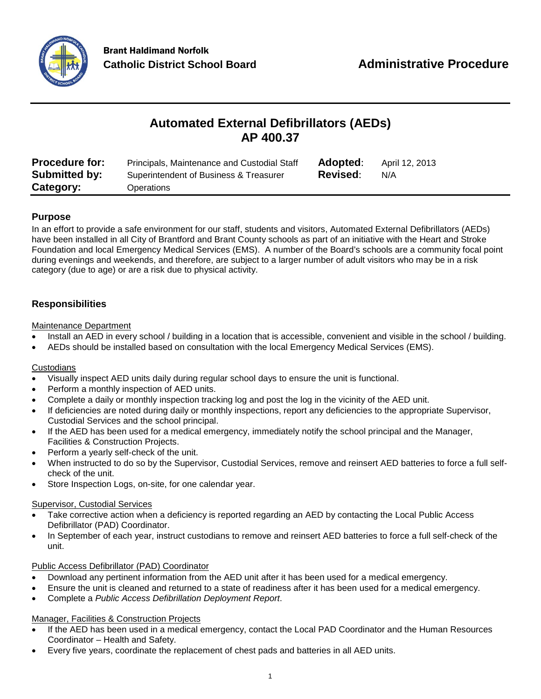

# **Automated External Defibrillators (AEDs) AP 400.37**

| <b>Procedure for:</b> | Principals, Maintenance and Custodial Staff | Adopted:        | April 12, 2013 |
|-----------------------|---------------------------------------------|-----------------|----------------|
| <b>Submitted by:</b>  | Superintendent of Business & Treasurer      | <b>Revised:</b> | N/A            |
| Category:             | Operations                                  |                 |                |

## **Purpose**

In an effort to provide a safe environment for our staff, students and visitors, Automated External Defibrillators (AEDs) have been installed in all City of Brantford and Brant County schools as part of an initiative with the Heart and Stroke Foundation and local Emergency Medical Services (EMS). A number of the Board's schools are a community focal point during evenings and weekends, and therefore, are subject to a larger number of adult visitors who may be in a risk category (due to age) or are a risk due to physical activity.

## **Responsibilities**

#### Maintenance Department

- Install an AED in every school / building in a location that is accessible, convenient and visible in the school / building.
- AEDs should be installed based on consultation with the local Emergency Medical Services (EMS).

#### **Custodians**

- Visually inspect AED units daily during regular school days to ensure the unit is functional.
- Perform a monthly inspection of AED units.
- Complete a daily or monthly inspection tracking log and post the log in the vicinity of the AED unit.
- If deficiencies are noted during daily or monthly inspections, report any deficiencies to the appropriate Supervisor, Custodial Services and the school principal.
- If the AED has been used for a medical emergency, immediately notify the school principal and the Manager, Facilities & Construction Projects.
- Perform a yearly self-check of the unit.
- When instructed to do so by the Supervisor, Custodial Services, remove and reinsert AED batteries to force a full selfcheck of the unit.
- Store Inspection Logs, on-site, for one calendar year.

#### Supervisor, Custodial Services

- Take corrective action when a deficiency is reported regarding an AED by contacting the Local Public Access Defibrillator (PAD) Coordinator.
- In September of each year, instruct custodians to remove and reinsert AED batteries to force a full self-check of the unit.

#### Public Access Defibrillator (PAD) Coordinator

- Download any pertinent information from the AED unit after it has been used for a medical emergency.
- Ensure the unit is cleaned and returned to a state of readiness after it has been used for a medical emergency.
- Complete a *Public Access Defibrillation Deployment Report*.

#### Manager, Facilities & Construction Projects

- If the AED has been used in a medical emergency, contact the Local PAD Coordinator and the Human Resources Coordinator – Health and Safety.
- Every five years, coordinate the replacement of chest pads and batteries in all AED units.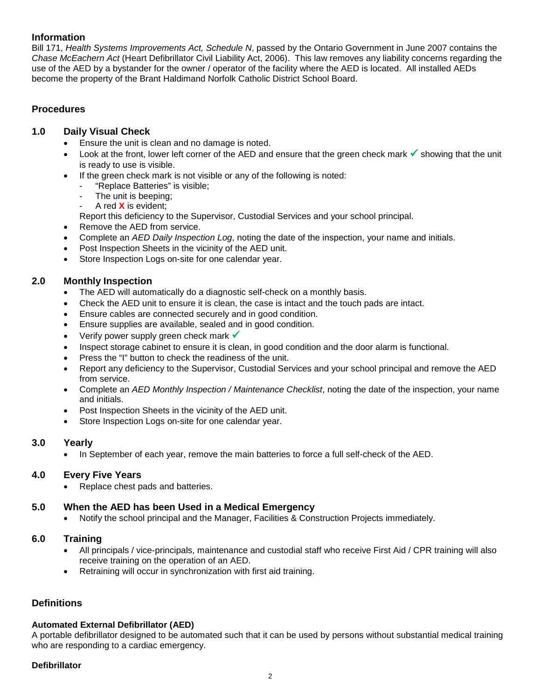### **Information**

Bill 171, *Health Systems Improvements Act, Schedule N*, passed by the Ontario Government in June 2007 contains the *Chase McEachern Act* (Heart Defibrillator Civil Liability Act, 2006). This law removes any liability concerns regarding the use of the AED by a bystander for the owner / operator of the facility where the AED is located. All installed AEDs become the property of the Brant Haldimand Norfolk Catholic District School Board.

### **Procedures**

#### **1.0 Daily Visual Check**

- Ensure the unit is clean and no damage is noted.
- Look at the front, lower left corner of the AED and ensure that the green check mark  $\checkmark$  showing that the unit is ready to use is visible.
- If the green check mark is not visible or any of the following is noted:
	- "Replace Batteries" is visible;
	- The unit is beeping;
	- A red **X** is evident;
	- Report this deficiency to the Supervisor, Custodial Services and your school principal.
- Remove the AED from service.
- Complete an *AED Daily Inspection Log*, noting the date of the inspection, your name and initials.
- Post Inspection Sheets in the vicinity of the AED unit.
- Store Inspection Logs on-site for one calendar year.

#### **2.0 Monthly Inspection**

- The AED will automatically do a diagnostic self-check on a monthly basis.
- Check the AED unit to ensure it is clean, the case is intact and the touch pads are intact.
- Ensure cables are connected securely and in good condition.
- Ensure supplies are available, sealed and in good condition.
- Verify power supply green check mark  $\checkmark$
- Inspect storage cabinet to ensure it is clean, in good condition and the door alarm is functional.
- Press the "I" button to check the readiness of the unit.
- Report any deficiency to the Supervisor, Custodial Services and your school principal and remove the AED from service.
- Complete an *AED Monthly Inspection / Maintenance Checklist*, noting the date of the inspection, your name and initials.
- Post Inspection Sheets in the vicinity of the AED unit.
- Store Inspection Logs on-site for one calendar year.

#### **3.0 Yearly**

• In September of each year, remove the main batteries to force a full self-check of the AED.

#### **4.0 Every Five Years**

• Replace chest pads and batteries.

#### **5.0 When the AED has been Used in a Medical Emergency**

• Notify the school principal and the Manager, Facilities & Construction Projects immediately.

#### **6.0 Training**

- All principals / vice-principals, maintenance and custodial staff who receive First Aid / CPR training will also receive training on the operation of an AED.
- Retraining will occur in synchronization with first aid training.

#### **Definitions**

#### **Automated External Defibrillator (AED)**

A portable defibrillator designed to be automated such that it can be used by persons without substantial medical training who are responding to a cardiac emergency.

#### **Defibrillator**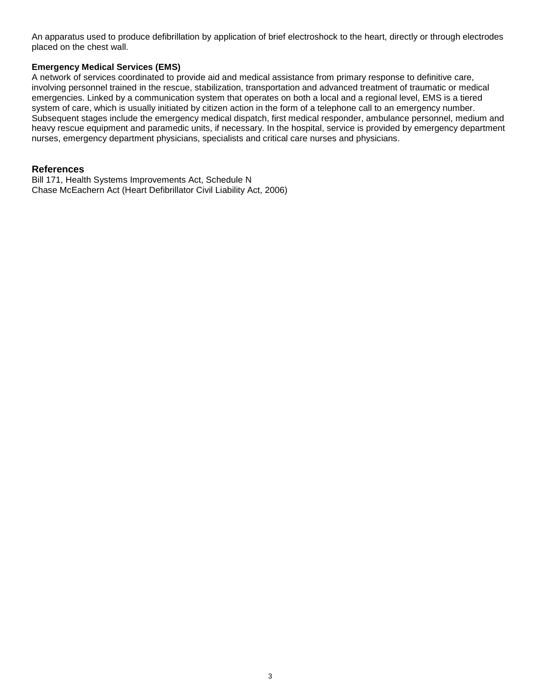An apparatus used to produce defibrillation by application of brief electroshock to the heart, directly or through electrodes placed on the chest wall.

#### **Emergency Medical Services (EMS)**

A network of services coordinated to provide aid and medical assistance from primary response to definitive care, involving personnel trained in the rescue, stabilization, transportation and advanced treatment of traumatic or medical emergencies. Linked by a communication system that operates on both a local and a regional level, EMS is a tiered system of care, which is usually initiated by citizen action in the form of a telephone call to an emergency number. Subsequent stages include the emergency medical dispatch, first medical responder, ambulance personnel, medium and heavy rescue equipment and paramedic units, if necessary. In the hospital, service is provided by emergency department nurses, emergency department physicians, specialists and critical care nurses and physicians.

#### **References**

Bill 171, Health Systems Improvements Act, Schedule N Chase McEachern Act (Heart Defibrillator Civil Liability Act, 2006)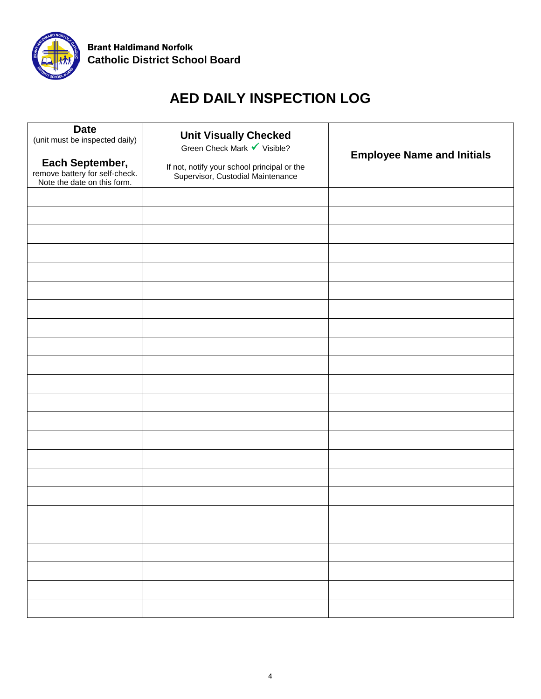

# **AED DAILY INSPECTION LOG**

| <b>Date</b><br>(unit must be inspected daily)<br>Each September,<br>remove battery for self-check.<br>Note the date on this form. | <b>Unit Visually Checked</b><br>Green Check Mark Visible?<br>If not, notify your school principal or the<br>Supervisor, Custodial Maintenance | <b>Employee Name and Initials</b> |
|-----------------------------------------------------------------------------------------------------------------------------------|-----------------------------------------------------------------------------------------------------------------------------------------------|-----------------------------------|
|                                                                                                                                   |                                                                                                                                               |                                   |
|                                                                                                                                   |                                                                                                                                               |                                   |
|                                                                                                                                   |                                                                                                                                               |                                   |
|                                                                                                                                   |                                                                                                                                               |                                   |
|                                                                                                                                   |                                                                                                                                               |                                   |
|                                                                                                                                   |                                                                                                                                               |                                   |
|                                                                                                                                   |                                                                                                                                               |                                   |
|                                                                                                                                   |                                                                                                                                               |                                   |
|                                                                                                                                   |                                                                                                                                               |                                   |
|                                                                                                                                   |                                                                                                                                               |                                   |
|                                                                                                                                   |                                                                                                                                               |                                   |
|                                                                                                                                   |                                                                                                                                               |                                   |
|                                                                                                                                   |                                                                                                                                               |                                   |
|                                                                                                                                   |                                                                                                                                               |                                   |
|                                                                                                                                   |                                                                                                                                               |                                   |
|                                                                                                                                   |                                                                                                                                               |                                   |
|                                                                                                                                   |                                                                                                                                               |                                   |
|                                                                                                                                   |                                                                                                                                               |                                   |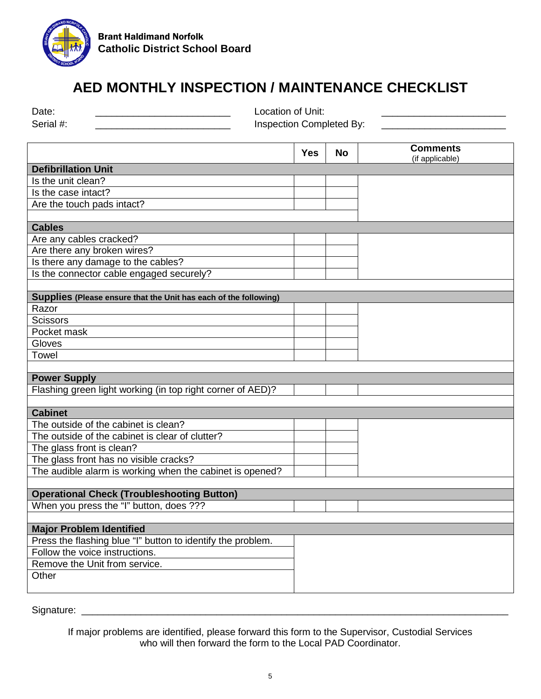

# **AED MONTHLY INSPECTION / MAINTENANCE CHECKLIST**

| Date:                                                            | Location of Unit:        |           |                                    |  |
|------------------------------------------------------------------|--------------------------|-----------|------------------------------------|--|
| Serial #:                                                        | Inspection Completed By: |           |                                    |  |
|                                                                  |                          |           |                                    |  |
|                                                                  | <b>Yes</b>               | <b>No</b> | <b>Comments</b><br>(if applicable) |  |
| <b>Defibrillation Unit</b>                                       |                          |           |                                    |  |
| Is the unit clean?                                               |                          |           |                                    |  |
| Is the case intact?                                              |                          |           |                                    |  |
| Are the touch pads intact?                                       |                          |           |                                    |  |
|                                                                  |                          |           |                                    |  |
| <b>Cables</b>                                                    |                          |           |                                    |  |
| Are any cables cracked?                                          |                          |           |                                    |  |
| Are there any broken wires?                                      |                          |           |                                    |  |
| Is there any damage to the cables?                               |                          |           |                                    |  |
| Is the connector cable engaged securely?                         |                          |           |                                    |  |
|                                                                  |                          |           |                                    |  |
| Supplies (Please ensure that the Unit has each of the following) |                          |           |                                    |  |
| Razor                                                            |                          |           |                                    |  |
| <b>Scissors</b>                                                  |                          |           |                                    |  |
| Pocket mask                                                      |                          |           |                                    |  |
| Gloves                                                           |                          |           |                                    |  |
| Towel                                                            |                          |           |                                    |  |
|                                                                  |                          |           |                                    |  |
| <b>Power Supply</b>                                              |                          |           |                                    |  |
| Flashing green light working (in top right corner of AED)?       |                          |           |                                    |  |
|                                                                  |                          |           |                                    |  |
| <b>Cabinet</b>                                                   |                          |           |                                    |  |
| The outside of the cabinet is clean?                             |                          |           |                                    |  |
| The outside of the cabinet is clear of clutter?                  |                          |           |                                    |  |
| The glass front is clean?                                        |                          |           |                                    |  |
| The glass front has no visible cracks?                           |                          |           |                                    |  |
| The audible alarm is working when the cabinet is opened?         |                          |           |                                    |  |
|                                                                  |                          |           |                                    |  |
| <b>Operational Check (Troubleshooting Button)</b>                |                          |           |                                    |  |
| When you press the "I" button, does ???                          |                          |           |                                    |  |
|                                                                  |                          |           |                                    |  |
| <b>Major Problem Identified</b>                                  |                          |           |                                    |  |
| Press the flashing blue "I" button to identify the problem.      |                          |           |                                    |  |
| Follow the voice instructions.                                   |                          |           |                                    |  |
| Remove the Unit from service.                                    |                          |           |                                    |  |
| Other                                                            |                          |           |                                    |  |
|                                                                  |                          |           |                                    |  |
|                                                                  |                          |           |                                    |  |

Signature: \_\_\_\_\_\_\_\_\_\_\_\_\_\_\_\_\_\_\_\_\_\_\_\_\_\_\_\_\_\_\_\_\_\_\_\_\_\_\_\_\_\_\_\_\_\_\_\_\_\_\_\_\_\_\_\_\_\_\_\_\_\_\_\_\_\_\_\_\_\_\_\_\_\_\_\_\_\_\_

If major problems are identified, please forward this form to the Supervisor, Custodial Services who will then forward the form to the Local PAD Coordinator.